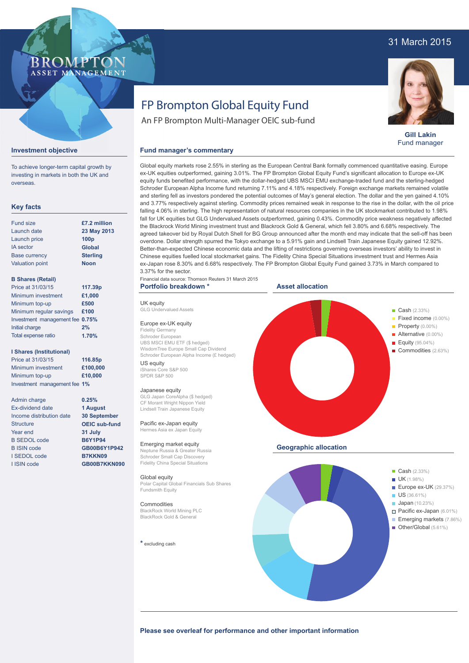## 31 March 2015

### ROMPTO ASSET MANAGEMENT

# FP Brompton Global Equity Fund

An FP Brompton Multi-Manager OEIC sub-fund



**Gill Lakin** Fund manager

### **Investment objective**

To achieve longer-term capital growth by investing in markets in both the UK and overseas.

### **Key facts**

| <b>Fund size</b>       | £7.2 million     |
|------------------------|------------------|
| Launch date            | 23 May 2013      |
| Launch price           | 100 <sub>p</sub> |
| <b>IA</b> sector       | <b>Global</b>    |
| <b>Base currency</b>   | <b>Sterling</b>  |
| <b>Valuation point</b> | <b>Noon</b>      |
|                        |                  |

### **B Shares (Retail)**

| Price at 31/03/15               | 117.39p |
|---------------------------------|---------|
| Minimum investment              | £1,000  |
| Minimum top-up                  | £500    |
| Minimum regular savings         | £100    |
| Investment management fee 0.75% |         |
| Initial charge                  | 2%      |
| Total expense ratio             | 1.70%   |

### **I Shares (Institutional)**

Price at 31/03/15 Minimum investment Minimum top-up Investment management fee **1%**

Admin charge Ex-dividend date Income distribution date **Structure** Year end B SEDOL code B ISIN code I SEDOL code I ISIN code

# **1.70% 116.85p £100,000 £10,000**

**0.25% 1 August 30 September OEIC sub-fund 31 July B6Y1P94 GB00B6Y1P942 B7KKN09 GB00B7KKN090**

Global equity markets rose 2.55% in sterling as the European Central Bank formally commenced quantitative easing. Europe ex-UK equities outperformed, gaining 3.01%. The FP Brompton Global Equity Fund's significant allocation to Europe ex-UK equity funds benefited performance, with the dollar-hedged UBS MSCI EMU exchange-traded fund and the sterling-hedged Schroder European Alpha Income fund returning 7.11% and 4.18% respectively. Foreign exchange markets remained volatile and sterling fell as investors pondered the potential outcomes of May's general election. The dollar and the yen gained 4.10% and 3.77% respectively against sterling. Commodity prices remained weak in response to the rise in the dollar, with the oil price falling 4.06% in sterling. The high representation of natural resources companies in the UK stockmarket contributed to 1.98% fall for UK equities but GLG Undervalued Assets outperformed, gaining 0.43%. Commodity price weakness negatively affected the Blackrock World Mining investment trust and Blackrock Gold & General, which fell 3.80% and 6.68% respectively. The agreed takeover bid by Royal Dutch Shell for BG Group announced after the month end may indicate that the sell-off has been overdone. Dollar strength spurred the Tokyo exchange to a 5.91% gain and Lindsell Train Japanese Equity gained 12.92%. Better-than-expected Chinese economic data and the lifting of restrictions governing overseas investors' ability to invest in Chinese equities fuelled local stockmarket gains. The Fidelity China Special Situations investment trust and Hermes Asia ex-Japan rose 8.30% and 6.68% respectively. The FP Brompton Global Equity Fund gained 3.73% in March compared to 3.37% for the sector.

Financial data source: Thomson Reuters 31 March 2015 **Portfolio breakdown \***

UK equity GLG Undervalued Assets Europe ex-UK equity Fidelity Germany Schroder European

US equity iShares Core S&P 500 SPDR S&P 500 Japanese equity

Global equity

Fundsmith Equity **Commodities** 

**\*** excluding cash

BlackRock World Mining PLC BlackRock Gold & General

UBS MSCI EMU ETF (\$ hedged) WisdomTree Europe Small Cap Dividend

GLG Japan CoreAlpha (\$ hedged) CF Morant Wright Nippon Yield Lindsell Train Japanese Equity Pacific ex-Japan equity Hermes Asia ex Japan Equity Emerging market equity Neptune Russia & Greater Russia Schroder Small Cap Discovery Fidelity China Special Situations

**Fund manager's commentary** 

### **Asset allocation**



Please see overleaf for performance and other important information